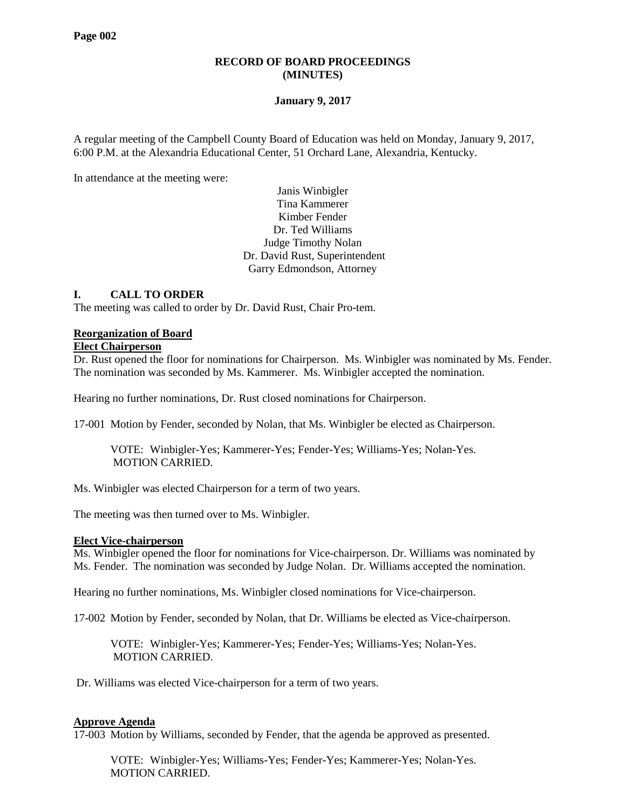# **RECORD OF BOARD PROCEEDINGS (MINUTES)**

## **January 9, 2017**

A regular meeting of the Campbell County Board of Education was held on Monday, January 9, 2017, 6:00 P.M. at the Alexandria Educational Center, 51 Orchard Lane, Alexandria, Kentucky.

In attendance at the meeting were:

Janis Winbigler Tina Kammerer Kimber Fender Dr. Ted Williams Judge Timothy Nolan Dr. David Rust, Superintendent Garry Edmondson, Attorney

# **I. CALL TO ORDER**

The meeting was called to order by Dr. David Rust, Chair Pro-tem.

#### **Reorganization of Board**

## **Elect Chairperson**

Dr. Rust opened the floor for nominations for Chairperson. Ms. Winbigler was nominated by Ms. Fender. The nomination was seconded by Ms. Kammerer. Ms. Winbigler accepted the nomination.

Hearing no further nominations, Dr. Rust closed nominations for Chairperson.

17-001 Motion by Fender, seconded by Nolan, that Ms. Winbigler be elected as Chairperson.

VOTE: Winbigler-Yes; Kammerer-Yes; Fender-Yes; Williams-Yes; Nolan-Yes. MOTION CARRIED.

Ms. Winbigler was elected Chairperson for a term of two years.

The meeting was then turned over to Ms. Winbigler.

#### **Elect Vice-chairperson**

Ms. Winbigler opened the floor for nominations for Vice-chairperson. Dr. Williams was nominated by Ms. Fender. The nomination was seconded by Judge Nolan. Dr. Williams accepted the nomination.

Hearing no further nominations, Ms. Winbigler closed nominations for Vice-chairperson.

17-002 Motion by Fender, seconded by Nolan, that Dr. Williams be elected as Vice-chairperson.

VOTE: Winbigler-Yes; Kammerer-Yes; Fender-Yes; Williams-Yes; Nolan-Yes. MOTION CARRIED.

Dr. Williams was elected Vice-chairperson for a term of two years.

#### **Approve Agenda**

17-003 Motion by Williams, seconded by Fender, that the agenda be approved as presented.

VOTE: Winbigler-Yes; Williams-Yes; Fender-Yes; Kammerer-Yes; Nolan-Yes. MOTION CARRIED.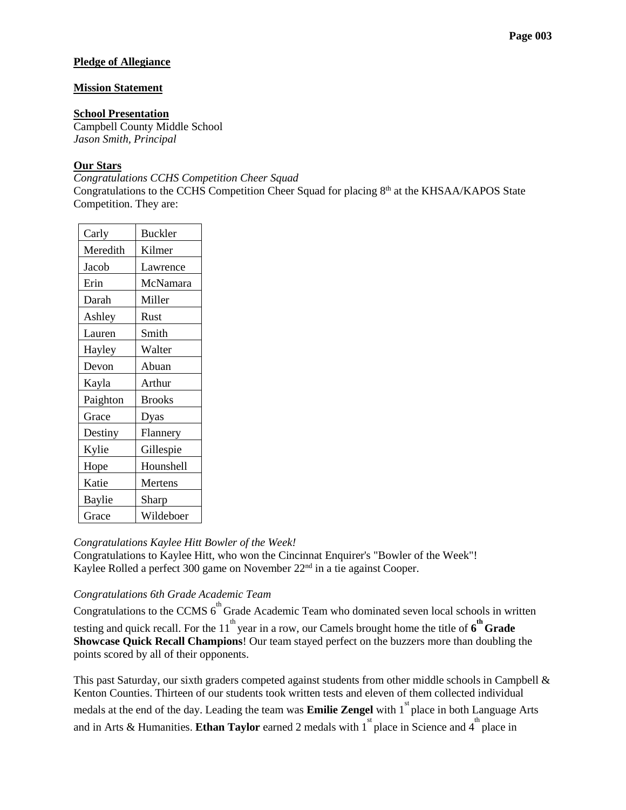# **Pledge of Allegiance**

## **Mission Statement**

### **School Presentation**

Campbell County Middle School *Jason Smith, Principal*

## **Our Stars**

*[Congratulations CCHS Competition Cheer Squad](http://www.campbellcountyschools.org/News/54436)* Congratulations to the CCHS Competition Cheer Squad for placing 8<sup>th</sup> at the KHSAA/KAPOS State Competition. They are:

| Carly    | <b>Buckler</b> |
|----------|----------------|
| Meredith | Kilmer         |
| Jacob    | Lawrence       |
| Erin     | McNamara       |
| Darah    | Miller         |
| Ashley   | Rust           |
| Lauren   | Smith          |
| Hayley   | Walter         |
| Devon    | Abuan          |
| Kayla    | Arthur         |
| Paighton | <b>Brooks</b>  |
| Grace    | Dyas           |
| Destiny  | Flannery       |
| Kylie    | Gillespie      |
| Hope     | Hounshell      |
| Katie    | Mertens        |
| Baylie   | Sharp          |
| Grace    | Wildeboer      |

#### *[Congratulations Kaylee Hitt Bowler of the Week!](http://www.campbellcountyschools.org/News/54437)*

Congratulations to Kaylee Hitt, who won the Cincinnat Enquirer's "Bowler of the Week"! Kaylee Rolled a perfect 300 game on November 22<sup>nd</sup> in a tie against Cooper.

# *[Congratulations 6th Grade Academic Team](http://www.campbellcountyschools.org/News/54432)*

Congratulations to the CCMS  $6<sup>th</sup>$  Grade Academic Team who dominated seven local schools in written testing and quick recall. For the  $11^{th}$  year in a row, our Camels brought home the title of  $6^{th}$  **Grade Showcase Quick Recall Champions**! Our team stayed perfect on the buzzers more than doubling the points scored by all of their opponents.

This past Saturday, our sixth graders competed against students from other middle schools in Campbell & Kenton Counties. Thirteen of our students took written tests and eleven of them collected individual medals at the end of the day. Leading the team was **Emilie Zengel** with 1<sup>st</sup> place in both Language Arts and in Arts & Humanities. **Ethan Taylor** earned 2 medals with  $1^{st}$  place in Science and  $4^{th}$  place in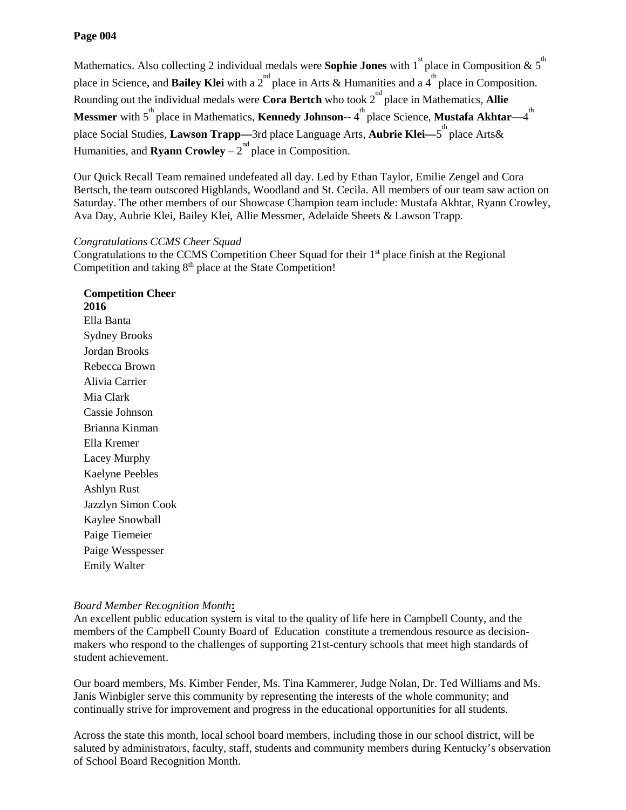# **Page 004**

Mathematics. Also collecting 2 individual medals were **Sophie Jones** with 1<sup>st</sup> place in Composition & 5<sup>th</sup> place in Science, and **Bailey Klei** with a 2<sup>nd</sup> place in Arts & Humanities and a 4<sup>th</sup> place in Composition. Rounding out the individual medals were **Cora Bertch** who took 2<sup>nd</sup> place in Mathematics, **Allie Messmer** with 5<sup>th</sup> place in Mathematics, **Kennedy Johnson--** 4<sup>th</sup> place Science, **Mustafa Akhtar**—4<sup>th</sup> place Social Studies, **Lawson Trapp—**3rd place Language Arts, **Aubrie Klei—**5 th place Arts& Humanities, and **Ryann Crowley**  $-2^{nd}$  place in Composition.

Our Quick Recall Team remained undefeated all day. Led by Ethan Taylor, Emilie Zengel and Cora Bertsch, the team outscored Highlands, Woodland and St. Cecila. All members of our team saw action on Saturday. The other members of our Showcase Champion team include: Mustafa Akhtar, Ryann Crowley, Ava Day, Aubrie Klei, Bailey Klei, Allie Messmer, Adelaide Sheets & Lawson Trapp.

# *Congratulations CCMS Cheer Squad*

Congratulations to the CCMS Competition Cheer Squad for their 1<sup>st</sup> place finish at the Regional Competition and taking  $8<sup>th</sup>$  place at the State Competition!

**Competition Cheer 2016** Ella Banta Sydney Brooks Jordan Brooks Rebecca Brown Alivia Carrier Mia Clark Cassie Johnson Brianna Kinman Ella Kremer Lacey Murphy Kaelyne Peebles Ashlyn Rust Jazzlyn Simon Cook Kaylee Snowball Paige Tiemeier Paige Wesspesser Emily Walter

# *Board Member Recognition Month***:**

An excellent public education system is vital to the quality of life here in Campbell County, and the members of the Campbell County Board of Education constitute a tremendous resource as decisionmakers who respond to the challenges of supporting 21st-century schools that meet high standards of student achievement.

Our board members, Ms. Kimber Fender, Ms. Tina Kammerer, Judge Nolan, Dr. Ted Williams and Ms. Janis Winbigler serve this community by representing the interests of the whole community; and continually strive for improvement and progress in the educational opportunities for all students.

Across the state this month, local school board members, including those in our school district, will be saluted by administrators, faculty, staff, students and community members during Kentucky's observation of School Board Recognition Month.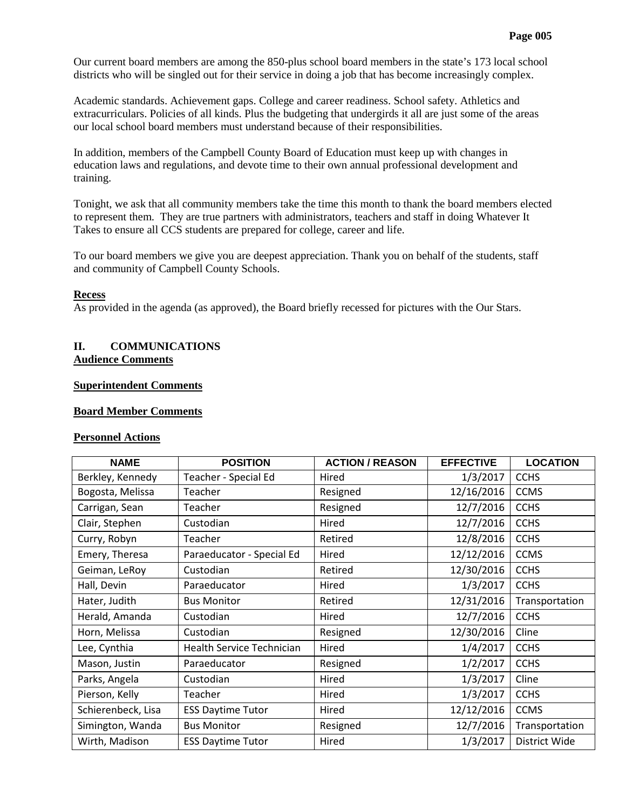Our current board members are among the 850-plus school board members in the state's 173 local school districts who will be singled out for their service in doing a job that has become increasingly complex.

Academic standards. Achievement gaps. College and career readiness. School safety. Athletics and extracurriculars. Policies of all kinds. Plus the budgeting that undergirds it all are just some of the areas our local school board members must understand because of their responsibilities.

In addition, members of the Campbell County Board of Education must keep up with changes in education laws and regulations, and devote time to their own annual professional development and training.

Tonight, we ask that all community members take the time this month to thank the board members elected to represent them. They are true partners with administrators, teachers and staff in doing Whatever It Takes to ensure all CCS students are prepared for college, career and life.

To our board members we give you are deepest appreciation. Thank you on behalf of the students, staff and community of Campbell County Schools.

# **Recess**

As provided in the agenda (as approved), the Board briefly recessed for pictures with the Our Stars.

# **II. COMMUNICATIONS Audience Comments**

# **Superintendent Comments**

## **Board Member Comments**

#### **Personnel Actions**

| <b>NAME</b>        | <b>POSITION</b>                           | <b>ACTION / REASON</b> | <b>EFFECTIVE</b>          | <b>LOCATION</b> |
|--------------------|-------------------------------------------|------------------------|---------------------------|-----------------|
| Berkley, Kennedy   | Teacher - Special Ed<br>Hired<br>1/3/2017 |                        | <b>CCHS</b>               |                 |
| Bogosta, Melissa   | Teacher                                   | Resigned               | 12/16/2016                | <b>CCMS</b>     |
| Carrigan, Sean     | Teacher                                   | Resigned               | 12/7/2016                 | <b>CCHS</b>     |
| Clair, Stephen     | Custodian                                 | Hired                  | 12/7/2016                 | <b>CCHS</b>     |
| Curry, Robyn       | Teacher                                   | Retired                | 12/8/2016                 | <b>CCHS</b>     |
| Emery, Theresa     | Paraeducator - Special Ed                 | Hired                  | 12/12/2016<br><b>CCMS</b> |                 |
| Geiman, LeRoy      | Custodian                                 | Retired                | 12/30/2016                | <b>CCHS</b>     |
| Hall, Devin        | Paraeducator                              | Hired                  | 1/3/2017                  | <b>CCHS</b>     |
| Hater, Judith      | <b>Bus Monitor</b>                        | Retired                | 12/31/2016                | Transportation  |
| Herald, Amanda     | Custodian                                 | 12/7/2016<br>Hired     |                           | <b>CCHS</b>     |
| Horn, Melissa      | Custodian                                 | Resigned               | 12/30/2016                | Cline           |
| Lee, Cynthia       | <b>Health Service Technician</b>          | Hired                  | 1/4/2017                  | <b>CCHS</b>     |
| Mason, Justin      | Paraeducator                              | Resigned               | 1/2/2017                  | <b>CCHS</b>     |
| Parks, Angela      | Custodian                                 | Hired                  | 1/3/2017                  | Cline           |
| Pierson, Kelly     | Teacher                                   | Hired                  | 1/3/2017                  | <b>CCHS</b>     |
| Schierenbeck, Lisa | <b>ESS Daytime Tutor</b>                  | Hired                  | 12/12/2016                | <b>CCMS</b>     |
| Simington, Wanda   | <b>Bus Monitor</b>                        | Resigned               | 12/7/2016                 | Transportation  |
| Wirth, Madison     | <b>ESS Daytime Tutor</b>                  | Hired                  | 1/3/2017                  | District Wide   |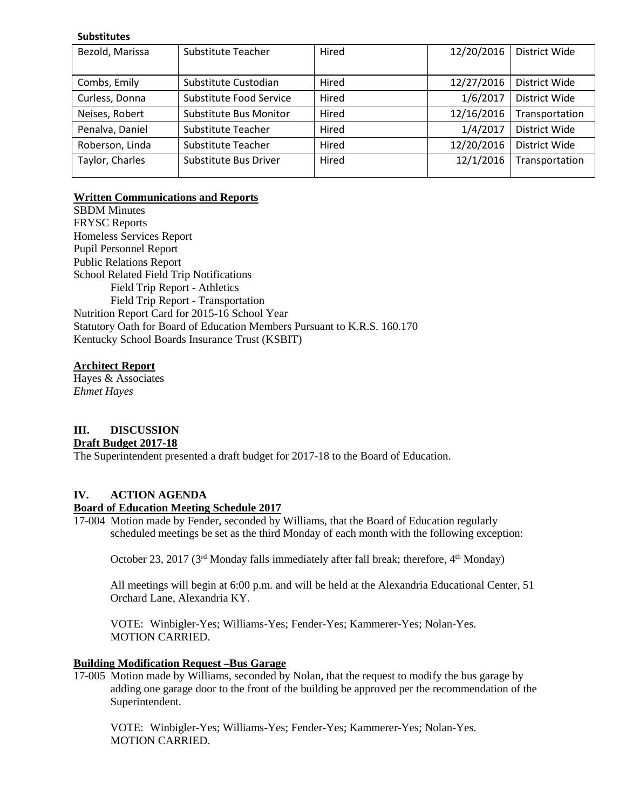#### **Substitutes**

| Bezold, Marissa | Substitute Teacher      | Hired | 12/20/2016 | District Wide  |
|-----------------|-------------------------|-------|------------|----------------|
|                 |                         |       |            |                |
| Combs, Emily    | Substitute Custodian    | Hired | 12/27/2016 | District Wide  |
| Curless, Donna  | Substitute Food Service | Hired | 1/6/2017   | District Wide  |
| Neises, Robert  | Substitute Bus Monitor  | Hired | 12/16/2016 | Transportation |
| Penalva, Daniel | Substitute Teacher      | Hired | 1/4/2017   | District Wide  |
| Roberson, Linda | Substitute Teacher      | Hired | 12/20/2016 | District Wide  |
| Taylor, Charles | Substitute Bus Driver   | Hired | 12/1/2016  | Transportation |
|                 |                         |       |            |                |

# **Written Communications and Reports**

SBDM Minutes FRYSC Reports Homeless Services Report Pupil Personnel Report Public Relations Report School Related Field Trip Notifications Field Trip Report - Athletics Field Trip Report - Transportation Nutrition Report Card for 2015-16 School Year Statutory Oath for Board of Education Members Pursuant to K.R.S. 160.170 Kentucky School Boards Insurance Trust (KSBIT)

# **Architect Report**

Hayes & Associates *Ehmet Hayes*

# **III. DISCUSSION**

# **Draft Budget 2017-18**

The Superintendent presented a draft budget for 2017-18 to the Board of Education.

# **IV. ACTION AGENDA**

# **Board of Education Meeting Schedule 2017**

17-004 Motion made by Fender, seconded by Williams, that the Board of Education regularly scheduled meetings be set as the third Monday of each month with the following exception:

October 23, 2017 ( $3<sup>rd</sup>$  Monday falls immediately after fall break; therefore,  $4<sup>th</sup>$  Monday)

All meetings will begin at 6:00 p.m. and will be held at the Alexandria Educational Center, 51 Orchard Lane, Alexandria KY.

VOTE: Winbigler-Yes; Williams-Yes; Fender-Yes; Kammerer-Yes; Nolan-Yes. MOTION CARRIED.

# **Building Modification Request –Bus Garage**

17-005 Motion made by Williams, seconded by Nolan, that the request to modify the bus garage by adding one garage door to the front of the building be approved per the recommendation of the Superintendent.

VOTE: Winbigler-Yes; Williams-Yes; Fender-Yes; Kammerer-Yes; Nolan-Yes. MOTION CARRIED.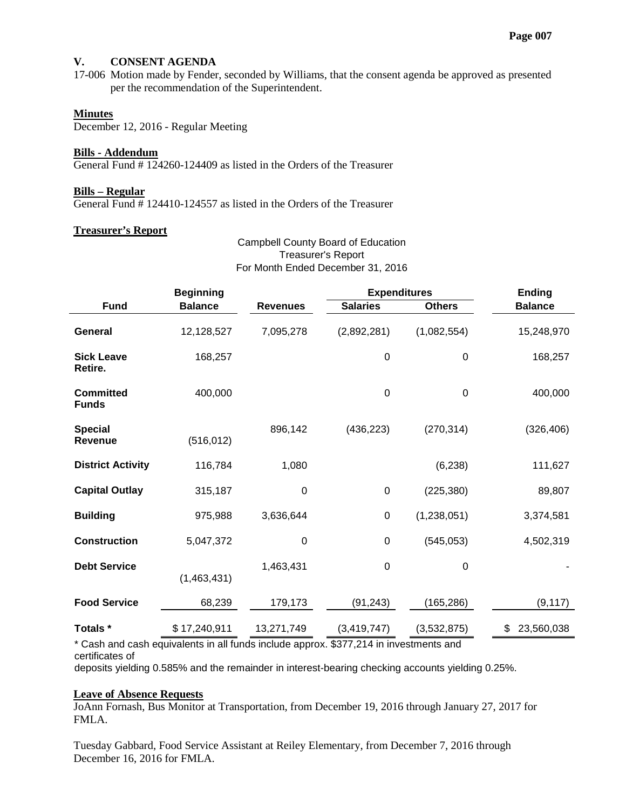# **V. CONSENT AGENDA**

17-006 Motion made by Fender, seconded by Williams, that the consent agenda be approved as presented per the recommendation of the Superintendent.

### **Minutes**

December 12, 2016 - Regular Meeting

#### **Bills - Addendum**

General Fund # 124260-124409 as listed in the Orders of the Treasurer

#### **Bills – Regular**

General Fund  $\frac{4}{3}$  124410-124557 as listed in the Orders of the Treasurer

#### **Treasurer's Report**

# Campbell County Board of Education Treasurer's Report For Month Ended December 31, 2016

|                                  | <b>Beginning</b> |                 | <b>Expenditures</b> |                  | <b>Ending</b>    |
|----------------------------------|------------------|-----------------|---------------------|------------------|------------------|
| <b>Fund</b>                      | <b>Balance</b>   | <b>Revenues</b> | <b>Salaries</b>     | <b>Others</b>    | <b>Balance</b>   |
| <b>General</b>                   | 12,128,527       | 7,095,278       | (2,892,281)         | (1,082,554)      | 15,248,970       |
| <b>Sick Leave</b><br>Retire.     | 168,257          |                 | $\boldsymbol{0}$    | $\boldsymbol{0}$ | 168,257          |
| <b>Committed</b><br><b>Funds</b> | 400,000          |                 | 0                   | $\boldsymbol{0}$ | 400,000          |
| <b>Special</b><br><b>Revenue</b> | (516, 012)       | 896,142         | (436, 223)          | (270, 314)       | (326, 406)       |
| <b>District Activity</b>         | 116,784          | 1,080           |                     | (6, 238)         | 111,627          |
| <b>Capital Outlay</b>            | 315,187          | $\mathbf 0$     | $\pmb{0}$           | (225, 380)       | 89,807           |
| <b>Building</b>                  | 975,988          | 3,636,644       | 0                   | (1,238,051)      | 3,374,581        |
| <b>Construction</b>              | 5,047,372        | $\mathbf 0$     | $\mathbf 0$         | (545, 053)       | 4,502,319        |
| <b>Debt Service</b>              | (1,463,431)      | 1,463,431       | 0                   | $\pmb{0}$        |                  |
| <b>Food Service</b>              | 68,239           | 179,173         | (91, 243)           | (165, 286)       | (9, 117)         |
| Totals *                         | \$17,240,911     | 13,271,749      | (3, 419, 747)       | (3,532,875)      | \$<br>23,560,038 |

\* Cash and cash equivalents in all funds include approx. \$377,214 in investments and certificates of

deposits yielding 0.585% and the remainder in interest-bearing checking accounts yielding 0.25%.

## **Leave of Absence Requests**

JoAnn Fornash, Bus Monitor at Transportation, from December 19, 2016 through January 27, 2017 for FMLA.

Tuesday Gabbard, Food Service Assistant at Reiley Elementary, from December 7, 2016 through December 16, 2016 for FMLA.